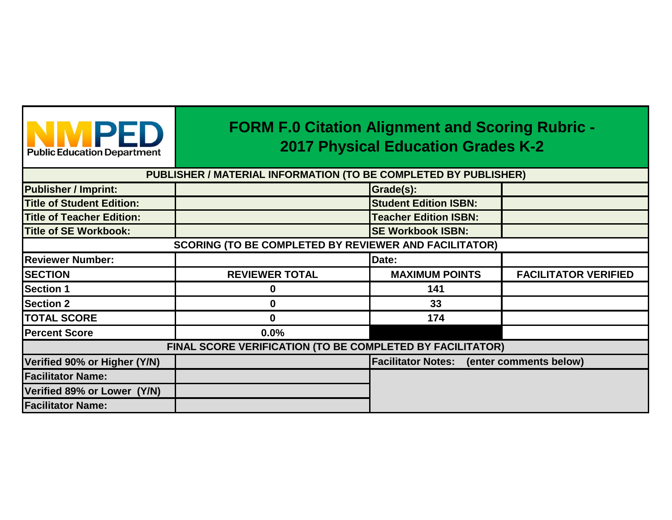| <b>Public Education Department</b> |  |  |  |  |  |  |
|------------------------------------|--|--|--|--|--|--|

## **FORM F.0 Citation Alignment and Scoring Rubric - 2017 Physical Education Grades K-2**

**PUBLISHER / MATERIAL INFORMATION (TO BE COMPLETED BY PUBLISHER)**

| <b>Publisher / Imprint:</b>      |                                                              | Grade(s):                                        |                             |
|----------------------------------|--------------------------------------------------------------|--------------------------------------------------|-----------------------------|
| <b>Title of Student Edition:</b> |                                                              | <b>Student Edition ISBN:</b>                     |                             |
| <b>Title of Teacher Edition:</b> |                                                              | <b>Teacher Edition ISBN:</b>                     |                             |
| <b>Title of SE Workbook:</b>     |                                                              | <b>SE Workbook ISBN:</b>                         |                             |
|                                  | <b>SCORING (TO BE COMPLETED BY REVIEWER AND FACILITATOR)</b> |                                                  |                             |
| <b>Reviewer Number:</b>          |                                                              | Date:                                            |                             |
| <b>SECTION</b>                   | <b>REVIEWER TOTAL</b>                                        | <b>MAXIMUM POINTS</b>                            | <b>FACILITATOR VERIFIED</b> |
| <b>Section 1</b>                 | O                                                            | 141                                              |                             |
| <b>Section 2</b>                 | 0                                                            | 33                                               |                             |
| <b>TOTAL SCORE</b>               | 0                                                            | 174                                              |                             |
| <b>Percent Score</b>             | $0.0\%$                                                      |                                                  |                             |
|                                  | FINAL SCORE VERIFICATION (TO BE COMPLETED BY FACILITATOR)    |                                                  |                             |
| Verified 90% or Higher (Y/N)     |                                                              | <b>Facilitator Notes:</b> (enter comments below) |                             |
| <b>Facilitator Name:</b>         |                                                              |                                                  |                             |
| Verified 89% or Lower (Y/N)      |                                                              |                                                  |                             |
| <b>Facilitator Name:</b>         |                                                              |                                                  |                             |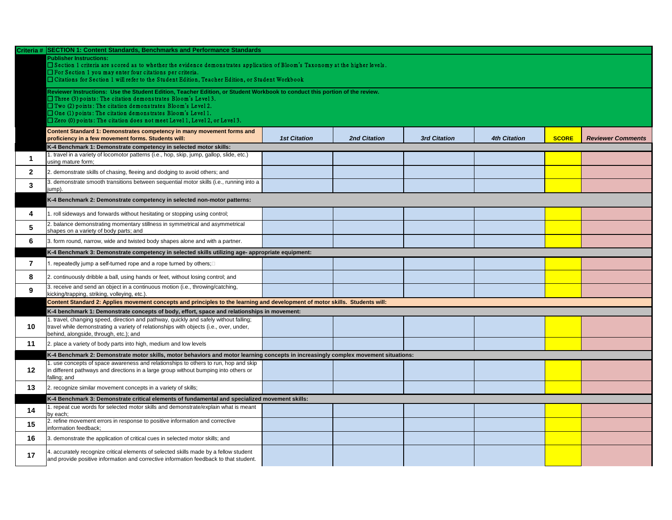|                | Criteria # SECTION 1: Content Standards, Benchmarks and Performance Standards                                                                                                                    |                     |                     |                     |                     |              |                          |
|----------------|--------------------------------------------------------------------------------------------------------------------------------------------------------------------------------------------------|---------------------|---------------------|---------------------|---------------------|--------------|--------------------------|
|                | <b>Publisher Instructions:</b>                                                                                                                                                                   |                     |                     |                     |                     |              |                          |
|                | □ Section 1 criteria are scored as to whether the evidence demonstrates application of Bloom's Taxonomy at the higher levels.<br>$\Box$ For Section 1 you may enter four citations per criteria. |                     |                     |                     |                     |              |                          |
|                | □ Citations for Section 1 will refer to the Student Edition, Teacher Edition, or Student Workbook                                                                                                |                     |                     |                     |                     |              |                          |
|                |                                                                                                                                                                                                  |                     |                     |                     |                     |              |                          |
|                | Reviewer Instructions: Use the Student Edition, Teacher Edition, or Student Workbook to conduct this portion of the review.                                                                      |                     |                     |                     |                     |              |                          |
|                | $\Box$ Three (3) points: The citation demonstrates Bloom's Level 3.                                                                                                                              |                     |                     |                     |                     |              |                          |
|                | $\Box$ Two (2) points: The citation demonstrates Bloom's Level 2.                                                                                                                                |                     |                     |                     |                     |              |                          |
|                | $\Box$ One (1) points: The citation demonstrates Bloom's Level 1.                                                                                                                                |                     |                     |                     |                     |              |                          |
|                | $\Box$ Zero (0) points: The citation does not meet Level 1, Level 2, or Level 3.                                                                                                                 |                     |                     |                     |                     |              |                          |
|                | Content Standard 1: Demonstrates competency in many movement forms and                                                                                                                           |                     |                     |                     |                     |              |                          |
|                | proficiency in a few movement forms. Students will:                                                                                                                                              | <b>1st Citation</b> | <b>2nd Citation</b> | <b>3rd Citation</b> | <b>4th Citation</b> | <b>SCORE</b> | <b>Reviewer Comments</b> |
|                | K-4 Benchmark 1: Demonstrate competency in selected motor skills:                                                                                                                                |                     |                     |                     |                     |              |                          |
|                | 1. travel in a variety of locomotor patterns (i.e., hop, skip, jump, gallop, slide, etc.)                                                                                                        |                     |                     |                     |                     |              |                          |
|                | using mature form;                                                                                                                                                                               |                     |                     |                     |                     |              |                          |
| 2 <sup>1</sup> | 2. demonstrate skills of chasing, fleeing and dodging to avoid others; and                                                                                                                       |                     |                     |                     |                     |              |                          |
|                | 3. demonstrate smooth transitions between sequential motor skills (i.e., running into a                                                                                                          |                     |                     |                     |                     |              |                          |
| 3              | (jump).                                                                                                                                                                                          |                     |                     |                     |                     |              |                          |
|                | K-4 Benchmark 2: Demonstrate competency in selected non-motor patterns:                                                                                                                          |                     |                     |                     |                     |              |                          |
|                |                                                                                                                                                                                                  |                     |                     |                     |                     |              |                          |
|                | . roll sideways and forwards without hesitating or stopping using control;                                                                                                                       |                     |                     |                     |                     |              |                          |
|                | 2. balance demonstrating momentary stillness in symmetrical and asymmetrical                                                                                                                     |                     |                     |                     |                     |              |                          |
| ა              | shapes on a variety of body parts; and                                                                                                                                                           |                     |                     |                     |                     |              |                          |
| 6              | 3. form round, narrow, wide and twisted body shapes alone and with a partner.                                                                                                                    |                     |                     |                     |                     |              |                          |
|                |                                                                                                                                                                                                  |                     |                     |                     |                     |              |                          |
|                | K-4 Benchmark 3: Demonstrate competency in selected skills utilizing age- appropriate equipment:                                                                                                 |                     |                     |                     |                     |              |                          |
|                | . repeatedly jump a self-turned rope and a rope turned by others; $\Box$                                                                                                                         |                     |                     |                     |                     |              |                          |
|                | 2. continuously dribble a ball, using hands or feet, without losing control; and                                                                                                                 |                     |                     |                     |                     |              |                          |
| 8              |                                                                                                                                                                                                  |                     |                     |                     |                     |              |                          |
| 9              | 3. receive and send an object in a continuous motion (i.e., throwing/catching,                                                                                                                   |                     |                     |                     |                     |              |                          |
|                | kicking/trapping, striking, volleying, etc.).                                                                                                                                                    |                     |                     |                     |                     |              |                          |
|                | Content Standard 2: Applies movement concepts and principles to the learning and development of motor skills. Students will:                                                                     |                     |                     |                     |                     |              |                          |
|                | K-4 benchmark 1: Demonstrate concepts of body, effort, space and relationships in movement:                                                                                                      |                     |                     |                     |                     |              |                          |
|                | 1. travel, changing speed, direction and pathway, quickly and safely without falling;                                                                                                            |                     |                     |                     |                     |              |                          |
| 10             | travel while demonstrating a variety of relationships with objects (i.e., over, under,<br>behind, alongside, through, etc.); and                                                                 |                     |                     |                     |                     |              |                          |
|                |                                                                                                                                                                                                  |                     |                     |                     |                     |              |                          |
| 11             | 2. place a variety of body parts into high, medium and low levels                                                                                                                                |                     |                     |                     |                     |              |                          |
|                | K-4 Benchmark 2: Demonstrate motor skills, motor behaviors and motor learning concepts in increasingly complex movement situations:                                                              |                     |                     |                     |                     |              |                          |
|                | . use concepts of space awareness and relationships to others to run, hop and skip                                                                                                               |                     |                     |                     |                     |              |                          |
| 12             | in different pathways and directions in a large group without bumping into others or                                                                                                             |                     |                     |                     |                     |              |                          |
|                | falling; and                                                                                                                                                                                     |                     |                     |                     |                     |              |                          |
| 13             | 2. recognize similar movement concepts in a variety of skills;                                                                                                                                   |                     |                     |                     |                     |              |                          |
|                | K-4 Benchmark 3: Demonstrate critical elements of fundamental and specialized movement skills:                                                                                                   |                     |                     |                     |                     |              |                          |
|                | . repeat cue words for selected motor skills and demonstrate/explain what is meant                                                                                                               |                     |                     |                     |                     |              |                          |
| 14             | by each;                                                                                                                                                                                         |                     |                     |                     |                     |              |                          |
| 15             | 2. refine movement errors in response to positive information and corrective                                                                                                                     |                     |                     |                     |                     |              |                          |
|                | information feedback;                                                                                                                                                                            |                     |                     |                     |                     |              |                          |
| 16             | 3. demonstrate the application of critical cues in selected motor skills; and                                                                                                                    |                     |                     |                     |                     |              |                          |
|                |                                                                                                                                                                                                  |                     |                     |                     |                     |              |                          |
| 17             | 4. accurately recognize critical elements of selected skills made by a fellow student                                                                                                            |                     |                     |                     |                     |              |                          |
|                | and provide positive information and corrective information feedback to that student.                                                                                                            |                     |                     |                     |                     |              |                          |

| <b>4th Citation</b> | <b>SCORE</b> | <b>Reviewer Comments</b> |
|---------------------|--------------|--------------------------|
|                     |              |                          |
|                     |              |                          |
|                     |              |                          |
|                     |              |                          |
|                     |              |                          |
|                     |              |                          |
|                     |              |                          |
|                     |              |                          |
|                     |              |                          |
|                     |              |                          |
|                     |              |                          |
|                     |              |                          |
|                     |              |                          |
|                     |              |                          |
|                     |              |                          |
|                     |              |                          |
|                     |              |                          |
|                     |              |                          |
|                     |              |                          |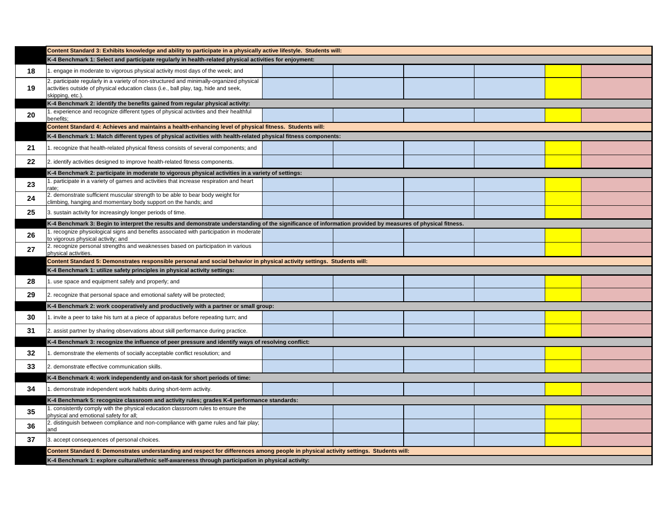|    | Content Standard 3: Exhibits knowledge and ability to participate in a physically active lifestyle. Students will:                                                                                   |  |  |  |  |  |  |
|----|------------------------------------------------------------------------------------------------------------------------------------------------------------------------------------------------------|--|--|--|--|--|--|
|    | K-4 Benchmark 1: Select and participate regularly in health-related physical activities for enjoyment:                                                                                               |  |  |  |  |  |  |
| 18 | 1. engage in moderate to vigorous physical activity most days of the week; and                                                                                                                       |  |  |  |  |  |  |
| 19 | 2. participate regularly in a variety of non-structured and minimally-organized physical<br>activities outside of physical education class (i.e., ball play, tag, hide and seek,<br>skipping, etc.). |  |  |  |  |  |  |
|    | K-4 Benchmark 2: identify the benefits gained from regular physical activity:                                                                                                                        |  |  |  |  |  |  |
| 20 | experience and recognize different types of physical activities and their healthful<br>benefits;                                                                                                     |  |  |  |  |  |  |
|    | Content Standard 4: Achieves and maintains a health-enhancing level of physical fitness. Students will:                                                                                              |  |  |  |  |  |  |
|    | K-4 Benchmark 1: Match different types of physical activities with health-related physical fitness components:                                                                                       |  |  |  |  |  |  |
| 21 | recognize that health-related physical fitness consists of several components; and                                                                                                                   |  |  |  |  |  |  |
| 22 | 2. identify activities designed to improve health-related fitness components.                                                                                                                        |  |  |  |  |  |  |
|    | K-4 Benchmark 2: participate in moderate to vigorous physical activities in a variety of settings:                                                                                                   |  |  |  |  |  |  |
| 23 | . participate in a variety of games and activities that increase respiration and heart<br>rate:                                                                                                      |  |  |  |  |  |  |
| 24 | 2. demonstrate sufficient muscular strength to be able to bear body weight for<br>climbing, hanging and momentary body support on the hands; and                                                     |  |  |  |  |  |  |
| 25 | 3. sustain activity for increasingly longer periods of time.                                                                                                                                         |  |  |  |  |  |  |
|    | K-4 Benchmark 3: Begin to interpret the results and demonstrate understanding of the significance of information provided by measures of physical fitness.                                           |  |  |  |  |  |  |
| 26 | recognize physiological signs and benefits associated with participation in moderate<br>to vigorous physical activity; and                                                                           |  |  |  |  |  |  |
| 27 | 2. recognize personal strengths and weaknesses based on participation in various<br>physical activities.                                                                                             |  |  |  |  |  |  |
|    | Content Standard 5: Demonstrates responsible personal and social behavior in physical activity settings. Students will:                                                                              |  |  |  |  |  |  |
|    | K-4 Benchmark 1: utilize safety principles in physical activity settings:                                                                                                                            |  |  |  |  |  |  |
| 28 | use space and equipment safely and properly; and                                                                                                                                                     |  |  |  |  |  |  |
| 29 | [2. recognize that personal space and emotional safety will be protected;                                                                                                                            |  |  |  |  |  |  |
|    | K-4 Benchmark 2: work cooperatively and productively with a partner or small group:                                                                                                                  |  |  |  |  |  |  |
| 30 | I. invite a peer to take his turn at a piece of apparatus before repeating turn; and                                                                                                                 |  |  |  |  |  |  |
| 31 | 2. assist partner by sharing observations about skill performance during practice.                                                                                                                   |  |  |  |  |  |  |
|    | K-4 Benchmark 3: recognize the influence of peer pressure and identify ways of resolving conflict:                                                                                                   |  |  |  |  |  |  |
| 32 | demonstrate the elements of socially acceptable conflict resolution; and                                                                                                                             |  |  |  |  |  |  |
| 33 | 2. demonstrate effective communication skills.                                                                                                                                                       |  |  |  |  |  |  |
|    | K-4 Benchmark 4: work independently and on-task for short periods of time:                                                                                                                           |  |  |  |  |  |  |
| 34 | demonstrate independent work habits during short-term activity.                                                                                                                                      |  |  |  |  |  |  |
|    | K-4 Benchmark 5: recognize classroom and activity rules; grades K-4 performance standards:                                                                                                           |  |  |  |  |  |  |
| 35 | consistently comply with the physical education classroom rules to ensure the<br>physical and emotional safety for all;                                                                              |  |  |  |  |  |  |
| 36 | 2. distinguish between compliance and non-compliance with game rules and fair play;<br>and                                                                                                           |  |  |  |  |  |  |
| 37 | 3. accept consequences of personal choices.                                                                                                                                                          |  |  |  |  |  |  |
|    | Content Standard 6: Demonstrates understanding and respect for differences among people in physical activity settings. Students will:                                                                |  |  |  |  |  |  |
|    | K-4 Benchmark 1: explore cultural/ethnic self-awareness through participation in physical activity:                                                                                                  |  |  |  |  |  |  |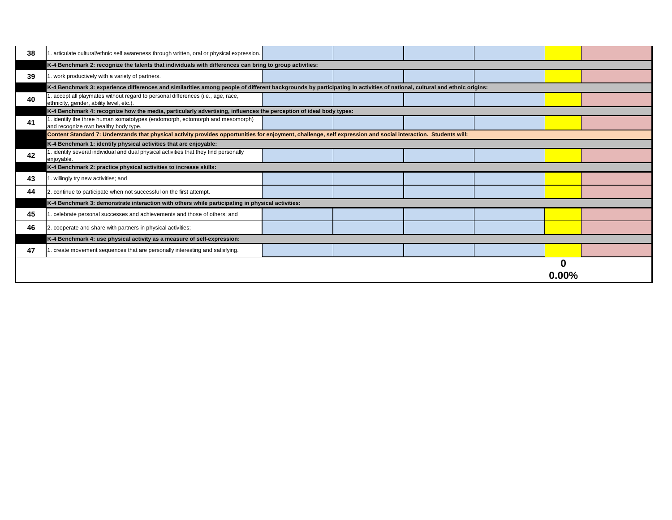| 38 | 1. articulate cultural/ethnic self awareness through written, oral or physical expression.                                                                              |  |  |  |  |  |  |
|----|-------------------------------------------------------------------------------------------------------------------------------------------------------------------------|--|--|--|--|--|--|
|    | K-4 Benchmark 2: recognize the talents that individuals with differences can bring to group activities:                                                                 |  |  |  |  |  |  |
| 39 | 1. work productively with a variety of partners.                                                                                                                        |  |  |  |  |  |  |
|    | K-4 Benchmark 3: experience differences and similarities among people of different backgrounds by participating in activities of national, cultural and ethnic origins: |  |  |  |  |  |  |
| 40 | . accept all playmates without regard to personal differences (i.e., age, race,<br>ethnicity, gender, ability level, etc.).                                             |  |  |  |  |  |  |
|    | K-4 Benchmark 4: recognize how the media, particularly advertising, influences the perception of ideal body types:                                                      |  |  |  |  |  |  |
| 41 | 1. identify the three human somatotypes (endomorph, ectomorph and mesomorph)<br>and recognize own healthy body type.                                                    |  |  |  |  |  |  |
|    | Content Standard 7: Understands that physical activity provides opportunities for enjoyment, challenge, self expression and social interaction. Students will:          |  |  |  |  |  |  |
|    | K-4 Benchmark 1: identify physical activities that are enjoyable:                                                                                                       |  |  |  |  |  |  |
| 42 | 1. identify several individual and dual physical activities that they find personally<br>enjoyable.                                                                     |  |  |  |  |  |  |
|    | K-4 Benchmark 2: practice physical activities to increase skills:                                                                                                       |  |  |  |  |  |  |
| 43 | 1. willingly try new activities; and                                                                                                                                    |  |  |  |  |  |  |
| 44 | 2. continue to participate when not successful on the first attempt.                                                                                                    |  |  |  |  |  |  |
|    | K-4 Benchmark 3: demonstrate interaction with others while participating in physical activities:                                                                        |  |  |  |  |  |  |
| 45 | 1. celebrate personal successes and achievements and those of others; and                                                                                               |  |  |  |  |  |  |
| 46 | 2. cooperate and share with partners in physical activities;                                                                                                            |  |  |  |  |  |  |
|    | K-4 Benchmark 4: use physical activity as a measure of self-expression:                                                                                                 |  |  |  |  |  |  |
| 47 | 1. create movement sequences that are personally interesting and satisfying.                                                                                            |  |  |  |  |  |  |
|    |                                                                                                                                                                         |  |  |  |  |  |  |

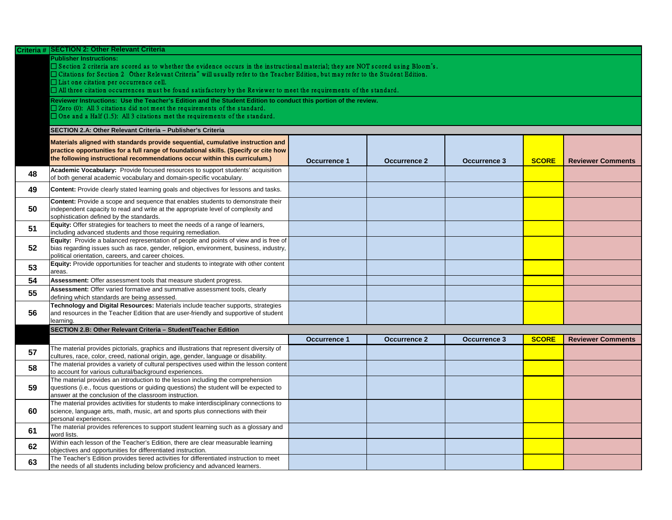|    | Criteria # SECTION 2: Other Relevant Criteria                                                                                                         |                     |                     |                     |              |                          |
|----|-------------------------------------------------------------------------------------------------------------------------------------------------------|---------------------|---------------------|---------------------|--------------|--------------------------|
|    | <b>Publisher Instructions:</b>                                                                                                                        |                     |                     |                     |              |                          |
|    | $\Box$ Section 2 criteria are scored as to whether the evidence occurs in the instructional material; they are NOT scored using Bloom's.              |                     |                     |                     |              |                          |
|    | □ Citations for Section 2 Other Relevant Criteria" will usually refer to the Teacher Edition, but may refer to the Student Edition.                   |                     |                     |                     |              |                          |
|    | $\Box$ List one citation per occurrence cell.                                                                                                         |                     |                     |                     |              |                          |
|    | $\Box$ All three citation occurrences must be found satisfactory by the Reviewer to meet the requirements of the standard.                            |                     |                     |                     |              |                          |
|    | Reviewer Instructions: Use the Teacher's Edition and the Student Edition to conduct this portion of the review.                                       |                     |                     |                     |              |                          |
|    | $\Box$ Zero (0): All 3 citations did not meet the requirements of the standard.                                                                       |                     |                     |                     |              |                          |
|    | $\Box$ One and a Half (1.5): All 3 citations met the requirements of the standard.                                                                    |                     |                     |                     |              |                          |
|    | SECTION 2.A: Other Relevant Criteria - Publisher's Criteria                                                                                           |                     |                     |                     |              |                          |
|    | Materials aligned with standards provide sequential, cumulative instruction and                                                                       |                     |                     |                     |              |                          |
|    | practice opportunities for a full range of foundational skills. (Specify or cite how                                                                  |                     |                     |                     |              |                          |
|    | the following instructional recommendations occur within this curriculum.)                                                                            | <b>Occurrence 1</b> | <b>Occurrence 2</b> | <b>Occurrence 3</b> | <b>SCORE</b> | <b>Reviewer Comments</b> |
|    | Academic Vocabulary: Provide focused resources to support students' acquisition                                                                       |                     |                     |                     |              |                          |
| 48 | of both general academic vocabulary and domain-specific vocabulary.                                                                                   |                     |                     |                     |              |                          |
|    |                                                                                                                                                       |                     |                     |                     |              |                          |
| 49 | <b>Content:</b> Provide clearly stated learning goals and objectives for lessons and tasks.                                                           |                     |                     |                     |              |                          |
|    | Content: Provide a scope and sequence that enables students to demonstrate their                                                                      |                     |                     |                     |              |                          |
| 50 | independent capacity to read and write at the appropriate level of complexity and                                                                     |                     |                     |                     |              |                          |
|    | sophistication defined by the standards.                                                                                                              |                     |                     |                     |              |                          |
| 51 | <b>Equity:</b> Offer strategies for teachers to meet the needs of a range of learners,                                                                |                     |                     |                     |              |                          |
|    | including advanced students and those requiring remediation.<br>Equity: Provide a balanced representation of people and points of view and is free of |                     |                     |                     |              |                          |
| 52 | bias regarding issues such as race, gender, religion, environment, business, industry,                                                                |                     |                     |                     |              |                          |
|    | political orientation, careers, and career choices.                                                                                                   |                     |                     |                     |              |                          |
|    | Equity: Provide opportunities for teacher and students to integrate with other content                                                                |                     |                     |                     |              |                          |
| 53 | areas.                                                                                                                                                |                     |                     |                     |              |                          |
| 54 | Assessment: Offer assessment tools that measure student progress.                                                                                     |                     |                     |                     |              |                          |
| 55 | Assessment: Offer varied formative and summative assessment tools, clearly                                                                            |                     |                     |                     |              |                          |
|    | defining which standards are being assessed.                                                                                                          |                     |                     |                     |              |                          |
|    | Technology and Digital Resources: Materials include teacher supports, strategies                                                                      |                     |                     |                     |              |                          |
| 56 | and resources in the Teacher Edition that are user-friendly and supportive of student                                                                 |                     |                     |                     |              |                          |
|    | learning.                                                                                                                                             |                     |                     |                     |              |                          |
|    | SECTION 2.B: Other Relevant Criteria - Student/Teacher Edition                                                                                        |                     |                     |                     |              |                          |
|    |                                                                                                                                                       | <b>Occurrence 1</b> | <b>Occurrence 2</b> | <b>Occurrence 3</b> | <b>SCORE</b> | <b>Reviewer Comments</b> |
| 57 | The material provides pictorials, graphics and illustrations that represent diversity of                                                              |                     |                     |                     |              |                          |
|    | cultures, race, color, creed, national origin, age, gender, language or disability.                                                                   |                     |                     |                     |              |                          |
| 58 | The material provides a variety of cultural perspectives used within the lesson content<br>to account for various cultural/background experiences.    |                     |                     |                     |              |                          |
|    | The material provides an introduction to the lesson including the comprehension                                                                       |                     |                     |                     |              |                          |
| 59 | questions (i.e., focus questions or guiding questions) the student will be expected to                                                                |                     |                     |                     |              |                          |
|    | answer at the conclusion of the classroom instruction.                                                                                                |                     |                     |                     |              |                          |
|    | The material provides activities for students to make interdisciplinary connections to                                                                |                     |                     |                     |              |                          |
| 60 | science, language arts, math, music, art and sports plus connections with their                                                                       |                     |                     |                     |              |                          |
|    | personal experiences.                                                                                                                                 |                     |                     |                     |              |                          |
| 61 | The material provides references to support student learning such as a glossary and                                                                   |                     |                     |                     |              |                          |
|    | word lists.                                                                                                                                           |                     |                     |                     |              |                          |
| 62 | Within each lesson of the Teacher's Edition, there are clear measurable learning<br>objectives and opportunities for differentiated instruction.      |                     |                     |                     |              |                          |
|    | The Teacher's Edition provides tiered activities for differentiated instruction to meet                                                               |                     |                     |                     |              |                          |
| 63 | the needs of all students including below proficiency and advanced learners.                                                                          |                     |                     |                     |              |                          |
|    |                                                                                                                                                       |                     |                     |                     |              |                          |

| <b>SCORE</b> | <b>Reviewer Comments</b> |
|--------------|--------------------------|
|              |                          |
|              |                          |
|              |                          |
|              |                          |
|              |                          |
|              |                          |
|              |                          |
|              |                          |
|              |                          |
|              |                          |
|              |                          |
|              |                          |
|              |                          |
|              |                          |
|              |                          |
|              |                          |

| <b>SCORE</b> | <b>Reviewer Comments</b> |
|--------------|--------------------------|
|              |                          |
|              |                          |
|              |                          |
|              |                          |
|              |                          |
|              |                          |
|              |                          |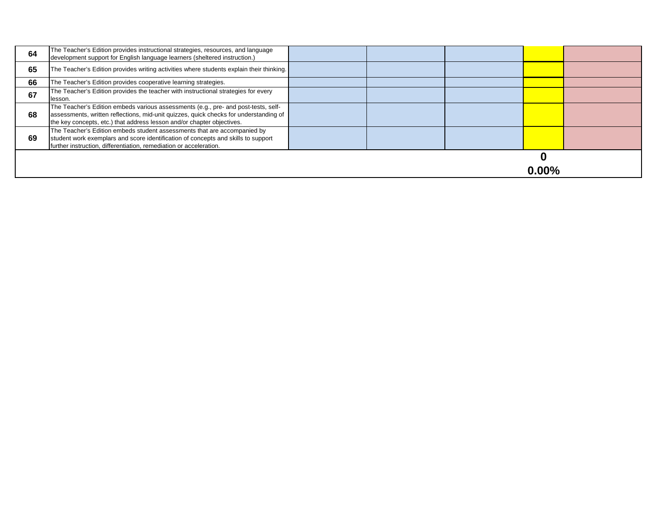| 64 | The Teacher's Edition provides instructional strategies, resources, and language<br>development support for English language learners (sheltered instruction.)                                                                                        |  |          |  |
|----|-------------------------------------------------------------------------------------------------------------------------------------------------------------------------------------------------------------------------------------------------------|--|----------|--|
| 65 | The Teacher's Edition provides writing activities where students explain their thinking.                                                                                                                                                              |  |          |  |
| 66 | The Teacher's Edition provides cooperative learning strategies.                                                                                                                                                                                       |  |          |  |
| 67 | The Teacher's Edition provides the teacher with instructional strategies for every<br>lesson.                                                                                                                                                         |  |          |  |
| 68 | The Teacher's Edition embeds various assessments (e.g., pre- and post-tests, self-<br>assessments, written reflections, mid-unit quizzes, quick checks for understanding of<br>the key concepts, etc.) that address lesson and/or chapter objectives. |  |          |  |
| 69 | The Teacher's Edition embeds student assessments that are accompanied by<br>student work exemplars and score identification of concepts and skills to support<br>further instruction, differentiation, remediation or acceleration.                   |  |          |  |
|    |                                                                                                                                                                                                                                                       |  | $0.00\%$ |  |